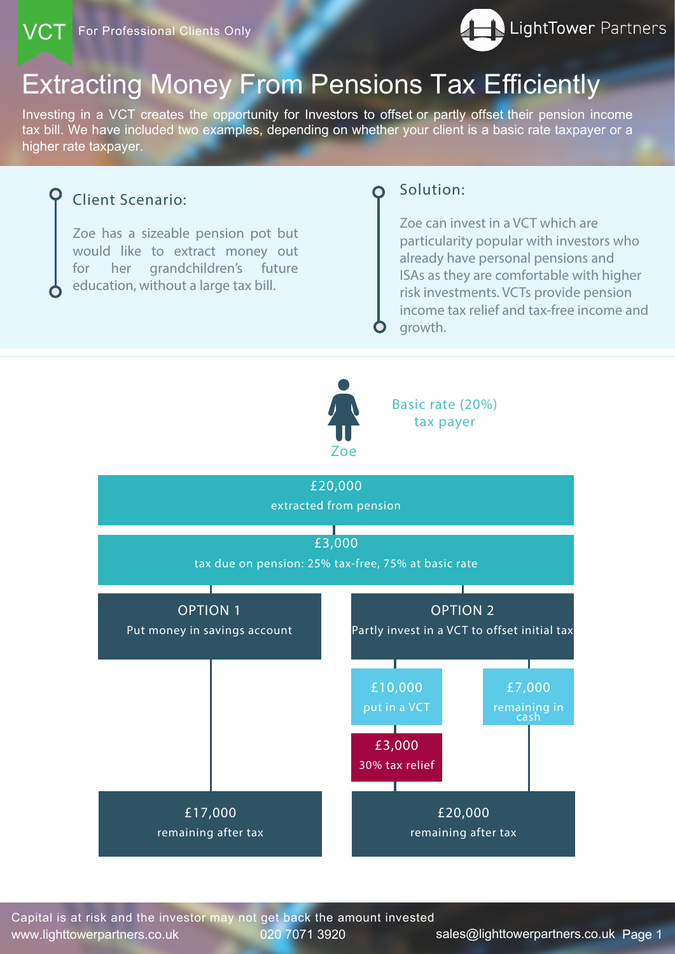# Extracting Money From Pensions Tax Efficiently

Investing in a VCT creates the opportunity for Investors to offset or partly offset their pension income tax bill. We have included two examples, depending on whether your client is a basic rate taxpayer or a higher rate taxpayer.

www.lighttowerpartners.co.uk 020 7071 3920 sales@lighttowerpartners.co.uk Page 1 Capital is at risk and the investor may not get back the amount invested

## Client Scenario:

Zoe has a sizeable pension pot but would like to extract money out for her grandchildren's future education, without a large tax bill.

## Solution:

Zoe can invest in a VCT which are particularity popular with investors who already have personal pensions and ISAs as they are comfortable with higher risk investments. VCTs provide pension income tax relief and tax-free income and growth.



£20,000

extracted from pension

Basic rate (20%) tax payer

£3,000

tax due on pension: 25% tax-free, 75% at basic rate